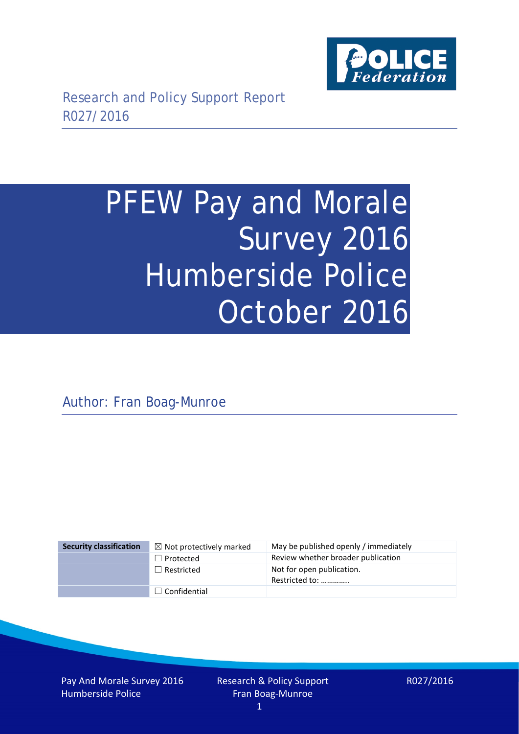

# PFEW Pay and Morale Survey 2016 Humberside Police October 2016

Author: Fran Boag-Munroe

| <b>Security classification</b> | $\boxtimes$ Not protectively marked | May be published openly / immediately       |
|--------------------------------|-------------------------------------|---------------------------------------------|
|                                | $\Box$ Protected                    | Review whether broader publication          |
|                                | $\Box$ Restricted                   | Not for open publication.<br>Restricted to: |
|                                | $\Box$ Confidential                 |                                             |

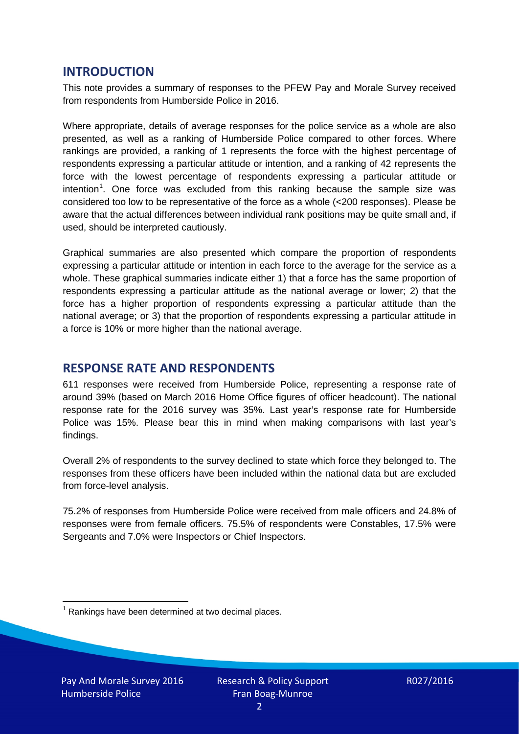## **INTRODUCTION**

This note provides a summary of responses to the PFEW Pay and Morale Survey received from respondents from Humberside Police in 2016.

Where appropriate, details of average responses for the police service as a whole are also presented, as well as a ranking of Humberside Police compared to other forces. Where rankings are provided, a ranking of 1 represents the force with the highest percentage of respondents expressing a particular attitude or intention, and a ranking of 42 represents the force with the lowest percentage of respondents expressing a particular attitude or intention<sup>[1](#page-1-0)</sup>. One force was excluded from this ranking because the sample size was considered too low to be representative of the force as a whole (<200 responses). Please be aware that the actual differences between individual rank positions may be quite small and, if used, should be interpreted cautiously.

Graphical summaries are also presented which compare the proportion of respondents expressing a particular attitude or intention in each force to the average for the service as a whole. These graphical summaries indicate either 1) that a force has the same proportion of respondents expressing a particular attitude as the national average or lower; 2) that the force has a higher proportion of respondents expressing a particular attitude than the national average; or 3) that the proportion of respondents expressing a particular attitude in a force is 10% or more higher than the national average.

## **RESPONSE RATE AND RESPONDENTS**

611 responses were received from Humberside Police, representing a response rate of around 39% (based on March 2016 Home Office figures of officer headcount). The national response rate for the 2016 survey was 35%. Last year's response rate for Humberside Police was 15%. Please bear this in mind when making comparisons with last year's findings.

Overall 2% of respondents to the survey declined to state which force they belonged to. The responses from these officers have been included within the national data but are excluded from force-level analysis.

75.2% of responses from Humberside Police were received from male officers and 24.8% of responses were from female officers. 75.5% of respondents were Constables, 17.5% were Sergeants and 7.0% were Inspectors or Chief Inspectors.

<span id="page-1-0"></span> $1$  Rankings have been determined at two decimal places.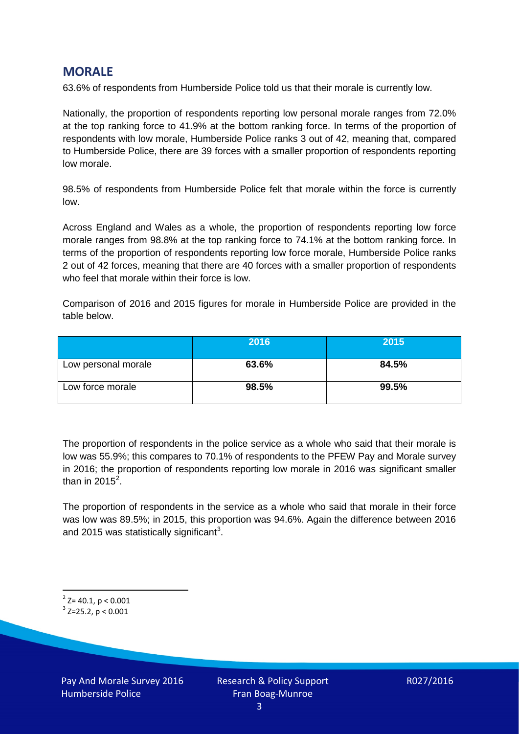## **MORALE**

63.6% of respondents from Humberside Police told us that their morale is currently low.

Nationally, the proportion of respondents reporting low personal morale ranges from 72.0% at the top ranking force to 41.9% at the bottom ranking force. In terms of the proportion of respondents with low morale, Humberside Police ranks 3 out of 42, meaning that, compared to Humberside Police, there are 39 forces with a smaller proportion of respondents reporting low morale.

98.5% of respondents from Humberside Police felt that morale within the force is currently low.

Across England and Wales as a whole, the proportion of respondents reporting low force morale ranges from 98.8% at the top ranking force to 74.1% at the bottom ranking force. In terms of the proportion of respondents reporting low force morale, Humberside Police ranks 2 out of 42 forces, meaning that there are 40 forces with a smaller proportion of respondents who feel that morale within their force is low.

Comparison of 2016 and 2015 figures for morale in Humberside Police are provided in the table below.

|                     | 2016  | 2015  |
|---------------------|-------|-------|
| Low personal morale | 63.6% | 84.5% |
| Low force morale    | 98.5% | 99.5% |

The proportion of respondents in the police service as a whole who said that their morale is low was 55.9%; this compares to 70.1% of respondents to the PFEW Pay and Morale survey in 2016; the proportion of respondents reporting low morale in 2016 was significant smaller than in [2](#page-2-0)015 $^2$ .

The proportion of respondents in the service as a whole who said that morale in their force was low was 89.5%; in 2015, this proportion was 94.6%. Again the difference between 2016 and 2015 was statistically significant<sup>[3](#page-2-1)</sup>.

<span id="page-2-0"></span> $2$ <sup>2</sup> Z= 40.1, p < 0.001

<span id="page-2-1"></span> $3$  Z=25.2, p < 0.001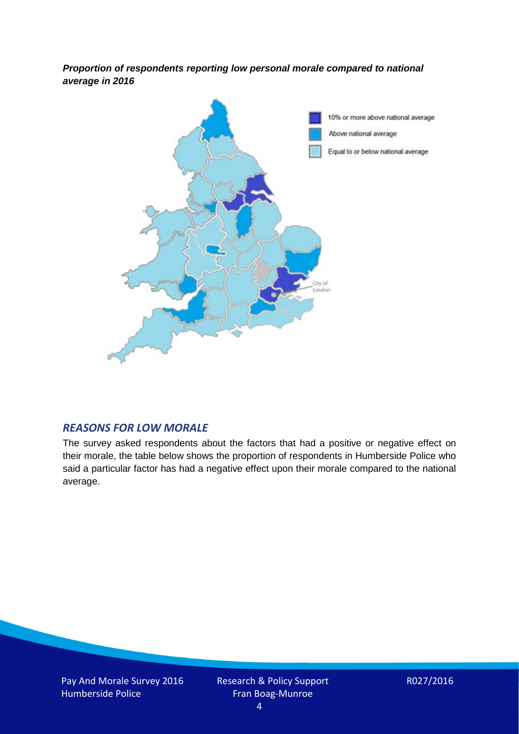*Proportion of respondents reporting low personal morale compared to national average in 2016*



## *REASONS FOR LOW MORALE*

The survey asked respondents about the factors that had a positive or negative effect on their morale, the table below shows the proportion of respondents in Humberside Police who said a particular factor has had a negative effect upon their morale compared to the national average.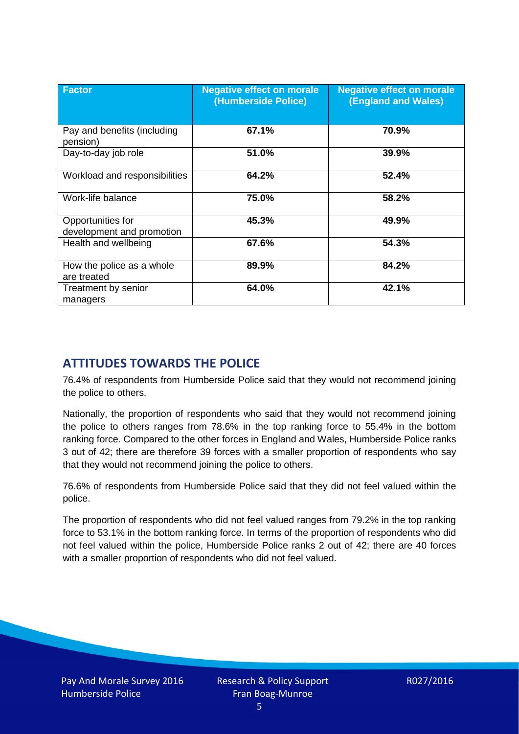| <b>Factor</b>                                  | <b>Negative effect on morale</b><br>(Humberside Police) | <b>Negative effect on morale</b><br><b>(England and Wales)</b> |
|------------------------------------------------|---------------------------------------------------------|----------------------------------------------------------------|
| Pay and benefits (including<br>pension)        | 67.1%                                                   | 70.9%                                                          |
| Day-to-day job role                            | 51.0%                                                   | 39.9%                                                          |
| Workload and responsibilities                  | 64.2%                                                   | 52.4%                                                          |
| Work-life balance                              | 75.0%                                                   | 58.2%                                                          |
| Opportunities for<br>development and promotion | 45.3%                                                   | 49.9%                                                          |
| Health and wellbeing                           | 67.6%                                                   | 54.3%                                                          |
| How the police as a whole<br>are treated       | 89.9%                                                   | 84.2%                                                          |
| Treatment by senior<br>managers                | 64.0%                                                   | 42.1%                                                          |

# **ATTITUDES TOWARDS THE POLICE**

76.4% of respondents from Humberside Police said that they would not recommend joining the police to others.

Nationally, the proportion of respondents who said that they would not recommend joining the police to others ranges from 78.6% in the top ranking force to 55.4% in the bottom ranking force. Compared to the other forces in England and Wales, Humberside Police ranks 3 out of 42; there are therefore 39 forces with a smaller proportion of respondents who say that they would not recommend joining the police to others.

76.6% of respondents from Humberside Police said that they did not feel valued within the police.

The proportion of respondents who did not feel valued ranges from 79.2% in the top ranking force to 53.1% in the bottom ranking force. In terms of the proportion of respondents who did not feel valued within the police, Humberside Police ranks 2 out of 42; there are 40 forces with a smaller proportion of respondents who did not feel valued.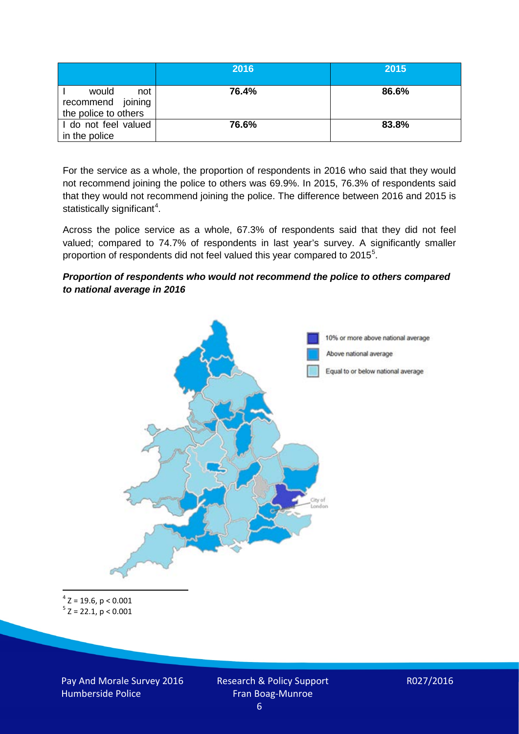|                                                           | 2016  | 2015  |
|-----------------------------------------------------------|-------|-------|
| would<br>not<br>recommend joining<br>the police to others | 76.4% | 86.6% |
| I do not feel valued<br>in the police                     | 76.6% | 83.8% |

For the service as a whole, the proportion of respondents in 2016 who said that they would not recommend joining the police to others was 69.9%. In 2015, 76.3% of respondents said that they would not recommend joining the police. The difference between 2016 and 2015 is statistically significant<sup>[4](#page-5-0)</sup>.

Across the police service as a whole, 67.3% of respondents said that they did not feel valued; compared to 74.7% of respondents in last year's survey. A significantly smaller proportion of respondents did not feel valued this year compared to 201[5](#page-5-1)<sup>5</sup>.

#### *Proportion of respondents who would not recommend the police to others compared to national average in 2016*



<span id="page-5-1"></span><span id="page-5-0"></span> $4$  Z = 19.6, p < 0.001  $5 z = 22.1, p < 0.001$ 

Pay And Morale Survey 2016 Humberside Police

Research & Policy Support Fran Boag-Munroe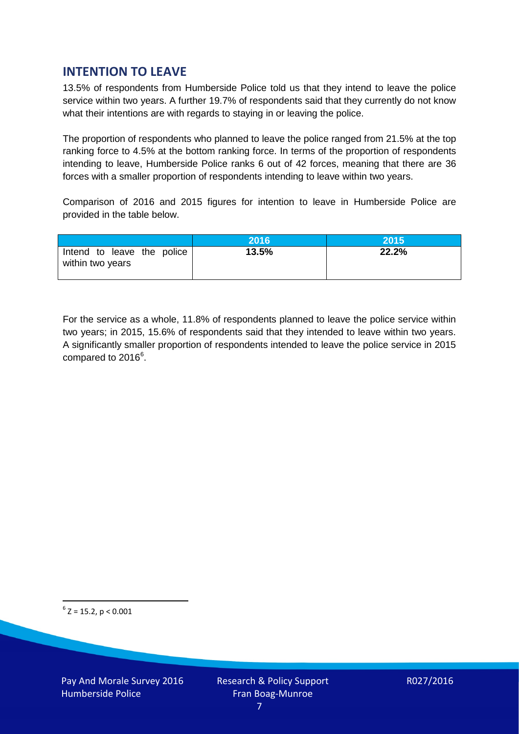## **INTENTION TO LEAVE**

13.5% of respondents from Humberside Police told us that they intend to leave the police service within two years. A further 19.7% of respondents said that they currently do not know what their intentions are with regards to staying in or leaving the police.

The proportion of respondents who planned to leave the police ranged from 21.5% at the top ranking force to 4.5% at the bottom ranking force. In terms of the proportion of respondents intending to leave, Humberside Police ranks 6 out of 42 forces, meaning that there are 36 forces with a smaller proportion of respondents intending to leave within two years.

Comparison of 2016 and 2015 figures for intention to leave in Humberside Police are provided in the table below.

|                                                | 2016  | 2015  |
|------------------------------------------------|-------|-------|
| Intend to leave the police<br>within two years | 13.5% | 22.2% |

For the service as a whole, 11.8% of respondents planned to leave the police service within two years; in 2015, 15.6% of respondents said that they intended to leave within two years. A significantly smaller proportion of respondents intended to leave the police service in 2015 compared to 201[6](#page-6-0)<sup>6</sup>.

<span id="page-6-0"></span> $6$  Z = 15.2, p < 0.001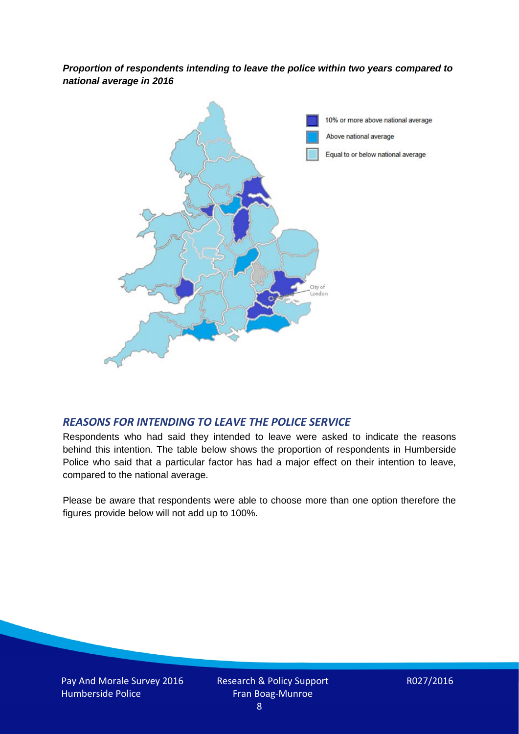*Proportion of respondents intending to leave the police within two years compared to national average in 2016*



## *REASONS FOR INTENDING TO LEAVE THE POLICE SERVICE*

Respondents who had said they intended to leave were asked to indicate the reasons behind this intention. The table below shows the proportion of respondents in Humberside Police who said that a particular factor has had a major effect on their intention to leave, compared to the national average.

Please be aware that respondents were able to choose more than one option therefore the figures provide below will not add up to 100%.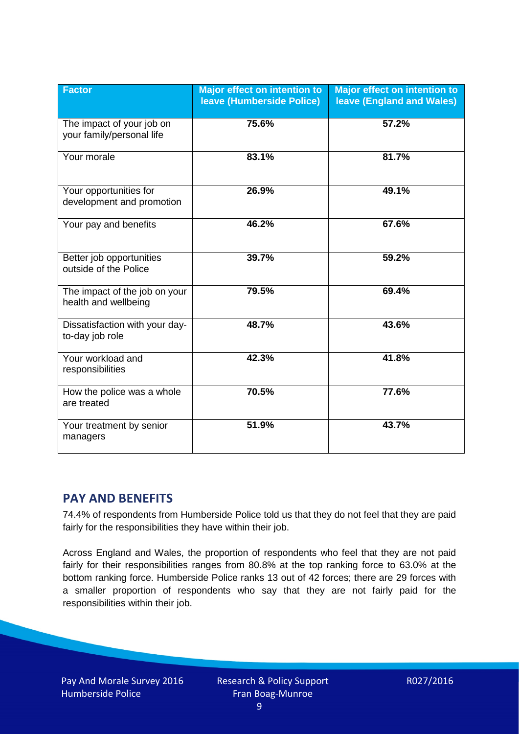| <b>Factor</b>                                          | <b>Major effect on intention to</b><br>leave (Humberside Police) | <b>Major effect on intention to</b><br><b>leave (England and Wales)</b> |
|--------------------------------------------------------|------------------------------------------------------------------|-------------------------------------------------------------------------|
| The impact of your job on<br>your family/personal life | 75.6%                                                            | 57.2%                                                                   |
| Your morale                                            | 83.1%                                                            | 81.7%                                                                   |
| Your opportunities for<br>development and promotion    | 26.9%                                                            | 49.1%                                                                   |
| Your pay and benefits                                  | 46.2%                                                            | 67.6%                                                                   |
| Better job opportunities<br>outside of the Police      | 39.7%                                                            | 59.2%                                                                   |
| The impact of the job on your<br>health and wellbeing  | 79.5%                                                            | 69.4%                                                                   |
| Dissatisfaction with your day-<br>to-day job role      | 48.7%                                                            | 43.6%                                                                   |
| Your workload and<br>responsibilities                  | 42.3%                                                            | 41.8%                                                                   |
| How the police was a whole<br>are treated              | 70.5%                                                            | 77.6%                                                                   |
| Your treatment by senior<br>managers                   | 51.9%                                                            | 43.7%                                                                   |

# **PAY AND BENEFITS**

74.4% of respondents from Humberside Police told us that they do not feel that they are paid fairly for the responsibilities they have within their job.

Across England and Wales, the proportion of respondents who feel that they are not paid fairly for their responsibilities ranges from 80.8% at the top ranking force to 63.0% at the bottom ranking force. Humberside Police ranks 13 out of 42 forces; there are 29 forces with a smaller proportion of respondents who say that they are not fairly paid for the responsibilities within their job.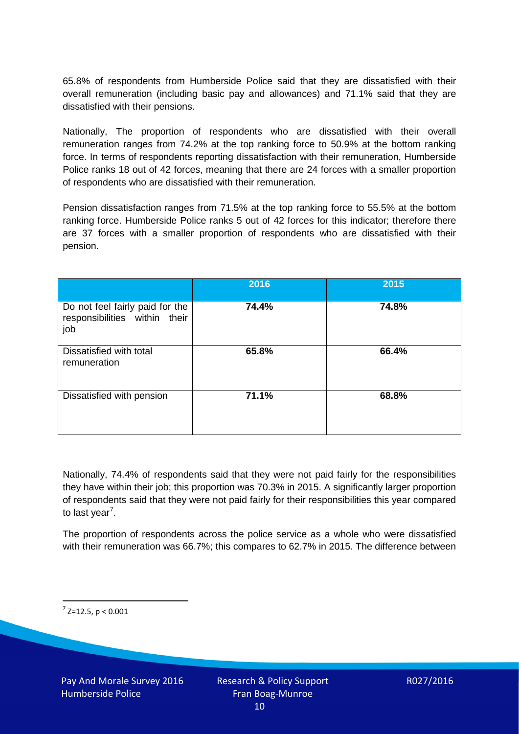65.8% of respondents from Humberside Police said that they are dissatisfied with their overall remuneration (including basic pay and allowances) and 71.1% said that they are dissatisfied with their pensions.

Nationally, The proportion of respondents who are dissatisfied with their overall remuneration ranges from 74.2% at the top ranking force to 50.9% at the bottom ranking force. In terms of respondents reporting dissatisfaction with their remuneration, Humberside Police ranks 18 out of 42 forces, meaning that there are 24 forces with a smaller proportion of respondents who are dissatisfied with their remuneration.

Pension dissatisfaction ranges from 71.5% at the top ranking force to 55.5% at the bottom ranking force. Humberside Police ranks 5 out of 42 forces for this indicator; therefore there are 37 forces with a smaller proportion of respondents who are dissatisfied with their pension.

|                                                                         | 2016  | 2015  |
|-------------------------------------------------------------------------|-------|-------|
| Do not feel fairly paid for the<br>responsibilities within their<br>job | 74.4% | 74.8% |
| Dissatisfied with total<br>remuneration                                 | 65.8% | 66.4% |
| Dissatisfied with pension                                               | 71.1% | 68.8% |

Nationally, 74.4% of respondents said that they were not paid fairly for the responsibilities they have within their job; this proportion was 70.3% in 2015. A significantly larger proportion of respondents said that they were not paid fairly for their responsibilities this year compared to last year<sup>[7](#page-9-0)</sup>.

The proportion of respondents across the police service as a whole who were dissatisfied with their remuneration was 66.7%; this compares to 62.7% in 2015. The difference between

<span id="page-9-0"></span> $7$  Z=12.5, p < 0.001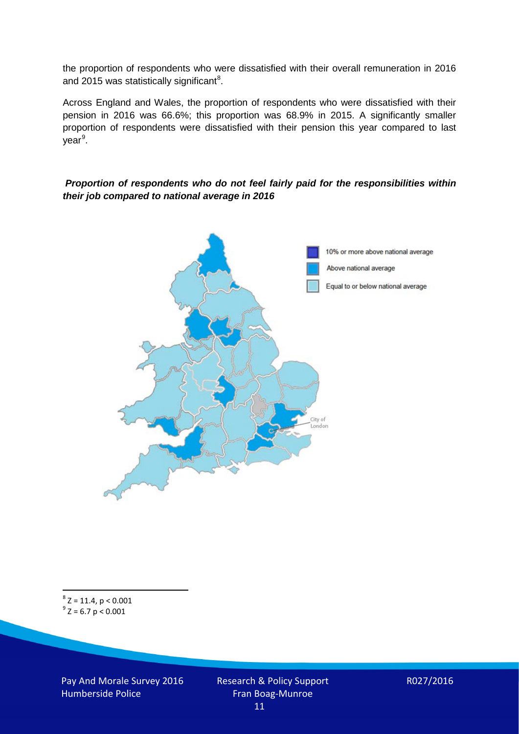the proportion of respondents who were dissatisfied with their overall remuneration in 2016 and 2015 was statistically significant<sup>[8](#page-10-0)</sup>.

Across England and Wales, the proportion of respondents who were dissatisfied with their pension in 2016 was 66.6%; this proportion was 68.9% in 2015. A significantly smaller proportion of respondents were dissatisfied with their pension this year compared to last year<sup>[9](#page-10-1)</sup>.

#### *Proportion of respondents who do not feel fairly paid for the responsibilities within their job compared to national average in 2016*



<span id="page-10-1"></span><span id="page-10-0"></span> ${}^{8}Z = 11.4, p < 0.001$ <br> ${}^{9}Z = 6.7 p < 0.001$ 

Pay And Morale Survey 2016 Humberside Police

Research & Policy Support Fran Boag-Munroe 11

R027/2016